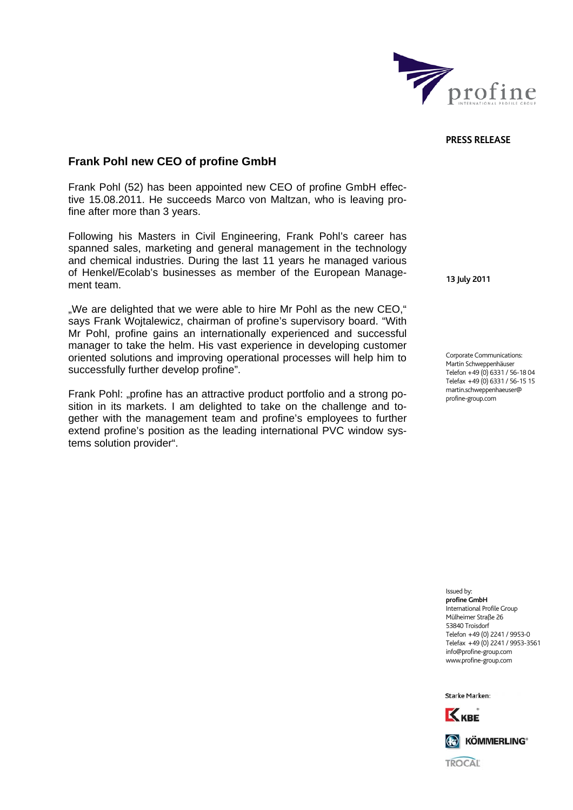

## **PRESS RELEASE**

## **Frank Pohl new CEO of profine GmbH**

Frank Pohl (52) has been appointed new CEO of profine GmbH effective 15.08.2011. He succeeds Marco von Maltzan, who is leaving profine after more than 3 years.

Following his Masters in Civil Engineering, Frank Pohl's career has spanned sales, marketing and general management in the technology and chemical industries. During the last 11 years he managed various of Henkel/Ecolab's businesses as member of the European Management team.

"We are delighted that we were able to hire Mr Pohl as the new CEO," says Frank Wojtalewicz, chairman of profine's supervisory board. "With Mr Pohl, profine gains an internationally experienced and successful manager to take the helm. His vast experience in developing customer oriented solutions and improving operational processes will help him to successfully further develop profine".

Frank Pohl: "profine has an attractive product portfolio and a strong position in its markets. I am delighted to take on the challenge and together with the management team and profine's employees to further extend profine's position as the leading international PVC window systems solution provider".

**13 July 2011** 

Corporate Communications: Martin Schweppenhäuser Telefon +49 (0) 6331 / 56-18 04 Telefax +49 (0) 6331 / 56-15 15 martin.schweppenhaeuser@ profine-group.com

Issued by: **profine GmbH**  .<br>International Profile Group Mülheimer Straße 26 53840 Troisdorf Telefon +49 (0) 2241 / 9953-0 Telefax +49 (0) 2241 / 9953-3561 info@profine-group.com www.profine-group.com

Starke Marken: